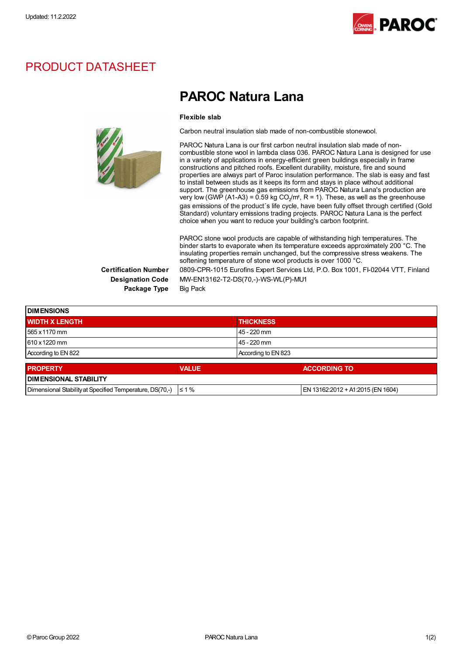

## PRODUCT DATASHEET



## PAROC Natura Lana

## Flexible slab

Carbon neutral insulation slab made of non-combustible stonewool.

PAROC Natura Lana is our first carbon neutral insulation slab made of noncombustible stone wool in lambda class 036. PAROC Natura Lana is designed for use in a variety of applications in energy-efficient green buildings especially in frame constructions and pitched roofs. Excellent durability, moisture, fire and sound properties are always part of Paroc insulation performance. The slab is easy and fast to install between studs as it keeps its form and stays in place without additional support. The greenhouse gas emissions from PAROC Natura Lana's production are very low (GWP (A1-A3) = 0.59 kg CO<sub>2</sub>/m<sup>2</sup>, R = 1). These, as well as the greenhouse gas emissions of the product´s life cycle, have been fully offset through certified (Gold Standard) voluntary emissions trading projects. PAROC Natura Lana is the perfect choice when you want to reduce your building's carbon footprint.

PAROC stone wool products are capable of withstanding high temperatures. The binder starts to evaporate when its temperature exceeds approximately 200 °C. The insulating properties remain unchanged, but the compressive stress weakens. The softening temperature of stone wool products is over 1000 °C.

Package Type Big Pack

Certification Number 0809-CPR-1015 Eurofins Expert Services Ltd, P.O. Box 1001, FI-02044 VTT, Finland Designation Code MW-EN13162-T2-DS(70,-)-WS-WL(P)-MU1

| <b>DIMENSIONS</b>     |              |                     |  |  |
|-----------------------|--------------|---------------------|--|--|
| <b>WIDTH X LENGTH</b> |              | <b>THICKNESS</b>    |  |  |
| 565 x 1170 mm         |              | 45 - 220 mm         |  |  |
| 610 x 1220 mm         |              | 45 - 220 mm         |  |  |
| According to EN 822   |              | According to EN 823 |  |  |
| <b>I PROPERTY</b>     | <b>VALUE</b> | ACCORDING TO        |  |  |

| <b>PROPERTY</b>                                                     | <b>VALUE</b> | <b>ACCORDING TO</b>               |  |  |
|---------------------------------------------------------------------|--------------|-----------------------------------|--|--|
| <b>IDIMENSIONAL STABILITY</b>                                       |              |                                   |  |  |
| Dimensional Stability at Specified Temperature, DS(70,-) $\leq 1\%$ |              | EN 13162:2012 + A1:2015 (EN 1604) |  |  |